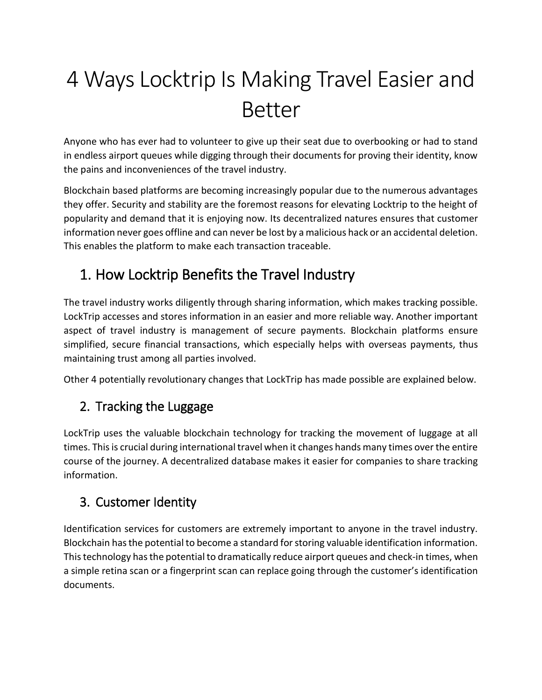# 4 Ways Locktrip Is Making Travel Easier and Better

Anyone who has ever had to volunteer to give up their seat due to overbooking or had to stand in endless airport queues while digging through their documents for proving their identity, know the pains and inconveniences of the travel industry.

Blockchain based platforms are becoming increasingly popular due to the numerous advantages they offer. Security and stability are the foremost reasons for elevating Locktrip to the height of popularity and demand that it is enjoying now. Its decentralized natures ensures that customer information never goes offline and can never be lost by a malicious hack or an accidental deletion. This enables the platform to make each transaction traceable.

## 1. How Locktrip Benefits the Travel Industry

The travel industry works diligently through sharing information, which makes tracking possible. LockTrip accesses and stores information in an easier and more reliable way. Another important aspect of travel industry is management of secure payments. Blockchain platforms ensure simplified, secure financial transactions, which especially helps with overseas payments, thus maintaining trust among all parties involved.

Other 4 potentially revolutionary changes that LockTrip has made possible are explained below.

### 2. Tracking the Luggage

LockTrip uses the valuable blockchain technology for tracking the movement of luggage at all times. This is crucial during international travel when it changes hands many times over the entire course of the journey. A decentralized database makes it easier for companies to share tracking information.

#### 3. Customer Identity

Identification services for customers are extremely important to anyone in the travel industry. Blockchain has the potential to become a standard for storing valuable identification information. This technology has the potential to dramatically reduce airport queues and check-in times, when a simple retina scan or a fingerprint scan can replace going through the customer's identification documents.